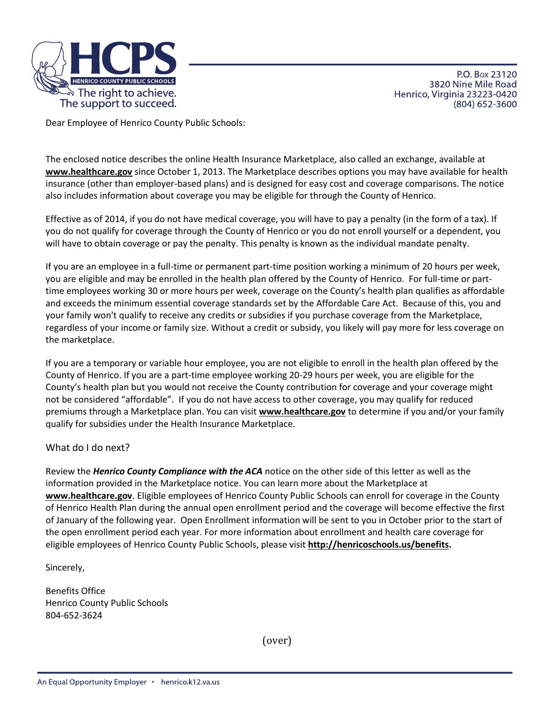

P.O. Box 23120 3820 Nine Mile Road Henrico, Virginia 23223-0420 (804) 652-3600

Dear Employee of Henrico County Public Schools:

The enclosed notice describes the online Health Insurance Marketplace, also called an exchange, available at **[www.healthcare.gov](http://www.healthcare.gov/)** since October 1, 2013. The Marketplace describes options you may have available for health insurance (other than employer-based plans) and is designed for easy cost and coverage comparisons. The notice also includes information about coverage you may be eligible for through the County of Henrico.

Effective as of 2014, if you do not have medical coverage, you will have to pay a penalty (in the form of a tax). If you do not qualify for coverage through the County of Henrico or you do not enroll yourself or a dependent, you will have to obtain coverage or pay the penalty. This penalty is known as the individual mandate penalty.

If you are an employee in a full-time or permanent part-time position working a minimum of 20 hours per week, you are eligible and may be enrolled in the health plan offered by the County of Henrico. For full-time or parttime employees working 30 or more hours per week, coverage on the County's health plan qualifies as affordable and exceeds the minimum essential coverage standards set by the Affordable Care Act. Because of this, you and your family won't qualify to receive any credits or subsidies if you purchase coverage from the Marketplace, regardless of your income or family size. Without a credit or subsidy, you likely will pay more for less coverage on the marketplace.

If you are a temporary or variable hour employee, you are not eligible to enroll in the health plan offered by the County of Henrico. If you are a part-time employee working 20-29 hours per week, you are eligible for the County's health plan but you would not receive the County contribution for coverage and your coverage might not be considered "affordable". If you do not have access to other coverage, you may qualify for reduced premiums through a Marketplace plan. You can visit **[www.healthcare.gov](http://www.healthcare.gov/)** to determine if you and/or your family qualify for subsidies under the Health Insurance Marketplace.

## What do I do next?

Review the *Henrico County Compliance with the ACA* notice on the other side of this letter as well as the information provided in the Marketplace notice. You can learn more about the Marketplace at **[www.healthcare.gov](http://www.healthcare.gov/)**. Eligible employees of Henrico County Public Schools can enroll for coverage in the County of Henrico Health Plan during the annual open enrollment period and the coverage will become effective the first of January of the following year. Open Enrollment information will be sent to you in October prior to the start of the open enrollment period each year. For more information about enrollment and health care coverage for eligible employees of Henrico County Public Schools, please visit **[http://henricoschools.us/benefits.](http://henricoschools.us/benefits)** 

Sincerely,

Benefits Office Henrico County Public Schools 804-652-3624

(over)